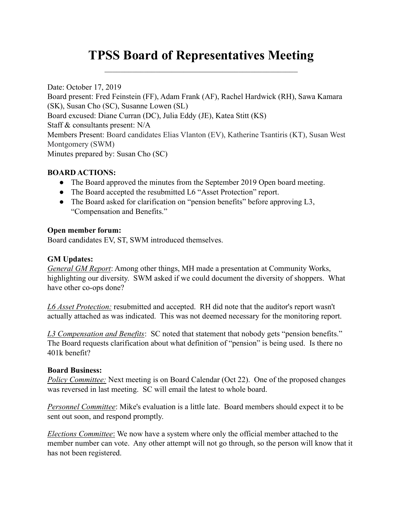# TPSS Board of Representatives Meeting

Date: October 17, 2019 Board present: Fred Feinstein (FF), Adam Frank (AF), Rachel Hardwick (RH), Sawa Kamara (SK), Susan Cho (SC), Susanne Lowen (SL) Board excused: Diane Curran (DC), Julia Eddy (JE), Katea Stitt (KS) Staff & consultants present: N/A Members Present: Board candidates Elias Vlanton (EV), Katherine Tsantiris (KT), Susan West Montgomery (SWM) Minutes prepared by: Susan Cho (SC)

## BOARD ACTIONS:

- The Board approved the minutes from the September 2019 Open board meeting.
- The Board accepted the resubmitted L6 "Asset Protection" report.
- The Board asked for clarification on "pension benefits" before approving L3, "Compensation and Benefits."

## Open member forum:

Board candidates EV, ST, SWM introduced themselves.

### GM Updates:

General GM Report: Among other things, MH made a presentation at Community Works, highlighting our diversity. SWM asked if we could document the diversity of shoppers. What have other co-ops done?

L6 Asset Protection: resubmitted and accepted. RH did note that the auditor's report wasn't actually attached as was indicated. This was not deemed necessary for the monitoring report.

L3 Compensation and Benefits: SC noted that statement that nobody gets "pension benefits." The Board requests clarification about what definition of "pension" is being used. Is there no 401k benefit?

#### Board Business:

Policy Committee: Next meeting is on Board Calendar (Oct 22). One of the proposed changes was reversed in last meeting. SC will email the latest to whole board.

Personnel Committee: Mike's evaluation is a little late. Board members should expect it to be sent out soon, and respond promptly.

Elections Committee: We now have a system where only the official member attached to the member number can vote. Any other attempt will not go through, so the person will know that it has not been registered.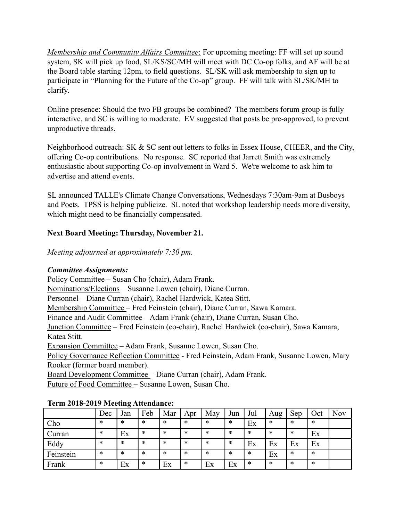Membership and Community Affairs Committee: For upcoming meeting: FF will set up sound system, SK will pick up food, SL/KS/SC/MH will meet with DC Co-op folks, and AF will be at the Board table starting 12pm, to field questions. SL/SK will ask membership to sign up to participate in "Planning for the Future of the Co-op" group. FF will talk with SL/SK/MH to clarify.

Online presence: Should the two FB groups be combined? The members forum group is fully interactive, and SC is willing to moderate. EV suggested that posts be pre-approved, to prevent unproductive threads.

Neighborhood outreach: SK & SC sent out letters to folks in Essex House, CHEER, and the City, offering Co-op contributions. No response. SC reported that Jarrett Smith was extremely enthusiastic about supporting Co-op involvement in Ward 5. We're welcome to ask him to advertise and attend events.

SL announced TALLE's Climate Change Conversations, Wednesdays 7:30am-9am at Busboys and Poets. TPSS is helping publicize. SL noted that workshop leadership needs more diversity, which might need to be financially compensated.

# Next Board Meeting: Thursday, November 21.

Meeting adjourned at approximately 7:30 pm.

# Committee Assignments:

Policy Committee – Susan Cho (chair), Adam Frank.

Nominations/Elections – Susanne Lowen (chair), Diane Curran.

Personnel – Diane Curran (chair), Rachel Hardwick, Katea Stitt.

Membership Committee – Fred Feinstein (chair), Diane Curran, Sawa Kamara.

Finance and Audit Committee – Adam Frank (chair), Diane Curran, Susan Cho.

Junction Committee – Fred Feinstein (co-chair), Rachel Hardwick (co-chair), Sawa Kamara, Katea Stitt.

Expansion Committee – Adam Frank, Susanne Lowen, Susan Cho.

Policy Governance Reflection Committee - Fred Feinstein, Adam Frank, Susanne Lowen, Mary Rooker (former board member).

Board Development Committee – Diane Curran (chair), Adam Frank.

Future of Food Committee – Susanne Lowen, Susan Cho.

|           | Dec    | Jan | Feb    | Mar    | Apr    | May | Jun    | Jul    | Aug    | Sep | Oct | Nov |
|-----------|--------|-----|--------|--------|--------|-----|--------|--------|--------|-----|-----|-----|
| Cho       | $\ast$ | *   | $\ast$ | *      | $\ast$ | *   | ∗      | Ex     | $\ast$ | *   | *   |     |
| Curran    | *      | Ex  | $\ast$ | $\ast$ | $\ast$ | *   | ∗      | $\ast$ | $\ast$ | *   | Ex  |     |
| Eddy      | *      | *   | $\ast$ | $\ast$ | $\ast$ | *   | ∗      | Ex     | Ex     | Ex  | Ex  |     |
| Feinstein | *      | *   | $\ast$ | ∗      | $\ast$ | *   | $\ast$ | $\ast$ | Ex     | *   | ∗   |     |
| Frank     | *      | Ex  | $\ast$ | Ex     | $\ast$ | Ex  | Ex     | $\ast$ | $\ast$ | *   | ∗   |     |

# Term 2018-2019 Meeting Attendance: